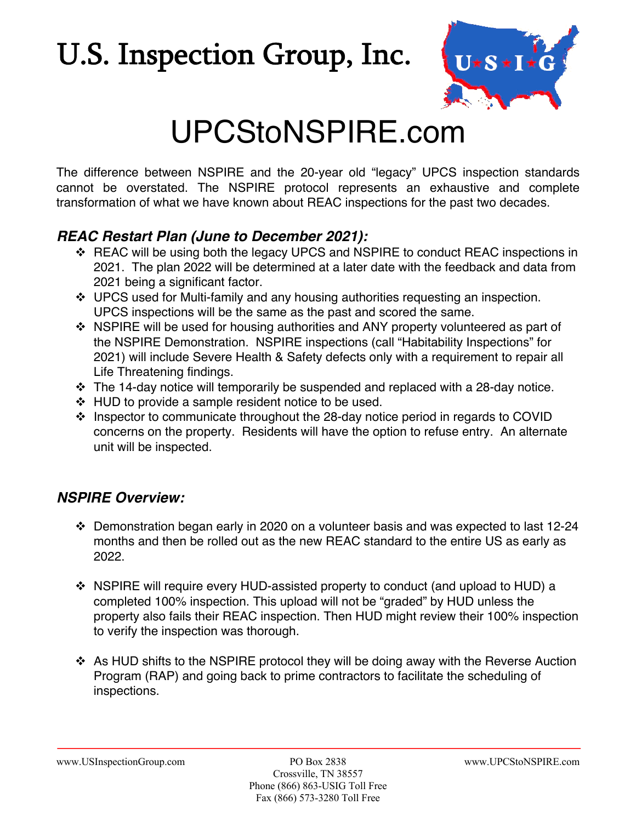## U.S. Inspection Group, Inc.



## UPCStoNSPIRE.com

The difference between NSPIRE and the 20-year old "legacy" UPCS inspection standards cannot be overstated. The NSPIRE protocol represents an exhaustive and complete transformation of what we have known about REAC inspections for the past two decades.

#### *REAC Restart Plan (June to December 2021):*

- v REAC will be using both the legacy UPCS and NSPIRE to conduct REAC inspections in 2021. The plan 2022 will be determined at a later date with the feedback and data from 2021 being a significant factor.
- $\div$  UPCS used for Multi-family and any housing authorities requesting an inspection. UPCS inspections will be the same as the past and scored the same.
- ❖ NSPIRE will be used for housing authorities and ANY property volunteered as part of the NSPIRE Demonstration. NSPIRE inspections (call "Habitability Inspections" for 2021) will include Severe Health & Safety defects only with a requirement to repair all Life Threatening findings.
- $\cdot \cdot$  The 14-day notice will temporarily be suspended and replaced with a 28-day notice.
- $\div$  HUD to provide a sample resident notice to be used.
- \* Inspector to communicate throughout the 28-day notice period in regards to COVID concerns on the property. Residents will have the option to refuse entry. An alternate unit will be inspected.

### *NSPIRE Overview:*

- $\cdot$  Demonstration began early in 2020 on a volunteer basis and was expected to last 12-24 months and then be rolled out as the new REAC standard to the entire US as early as 2022.
- $\div$  NSPIRE will require every HUD-assisted property to conduct (and upload to HUD) a completed 100% inspection. This upload will not be "graded" by HUD unless the property also fails their REAC inspection. Then HUD might review their 100% inspection to verify the inspection was thorough.
- ❖ As HUD shifts to the NSPIRE protocol they will be doing away with the Reverse Auction Program (RAP) and going back to prime contractors to facilitate the scheduling of inspections.